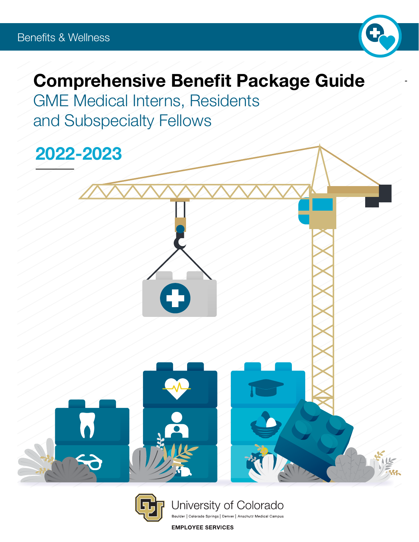

# Comprehensive Benefit Package Guide

GME Medical Interns, Residents and Subspecialty Fellows

2022-2023



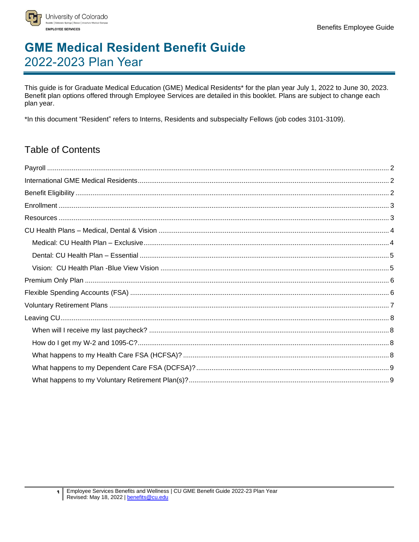

## **GME Medical Resident Benefit Guide** 2022-2023 Plan Year

This guide is for Graduate Medical Education (GME) Medical Residents\* for the plan year July 1, 2022 to June 30, 2023. Benefit plan options offered through Employee Services are detailed in this booklet. Plans are subject to change each plan year.

\*In this document "Resident" refers to Interns, Residents and subspecialty Fellows (job codes 3101-3109).

## **Table of Contents**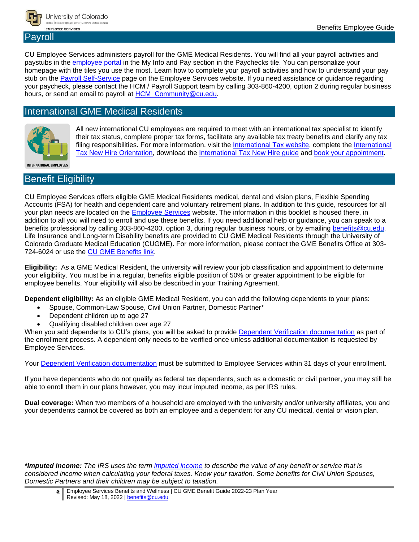

### <span id="page-2-0"></span>Payroll

CU Employee Services administers payroll for the GME Medical Residents. You will find all your payroll activities and paystubs in the [employee portal](http://www.my.cu.edu/) in the My Info and Pay section in the Paychecks tile. You can personalize your homepage with the tiles you use the most. Learn how to complete your payroll activities and how to understand your pay stub on the [Payroll Self-Service](https://www.cu.edu/employee-services/payroll/self-service) page on the Employee Services website. If you need assistance or guidance regarding your paycheck, please contact the HCM / Payroll Support team by calling 303-860-4200, option 2 during regular business hours, or send an email to payroll at [HCM\\_Community@cu.edu.](mailto:HCM_Community@cu.edu)

### <span id="page-2-1"></span>International GME Medical Residents



All new international CU employees are required to meet with an international tax specialist to identify their tax status, complete proper tax forms, facilitate any available tax treaty benefits and clarify any tax filing responsibilities. For more information, visit the [International Tax website,](http://www.cu.edu/node/2185) complete the International [Tax New Hire Orientation,](http://www.cu.edu/node/304675) download the [International Tax New Hire guide](http://www.cu.edu/node/287645) and [book your appointment.](https://booknow.appointment-plus.com/43rspqeq/)

**INTERNATIONAL EMPLOYEES** 

### <span id="page-2-2"></span>Benefit Eligibility

CU Employee Services offers eligible GME Medical Residents medical, dental and vision plans, Flexible Spending Accounts (FSA) for health and dependent care and voluntary retirement plans. In addition to this guide, resources for all your plan needs are located on the [Employee Services](http://www.cu.edu/node/244049) website. The information in this booklet is housed there, in addition to all you will need to enroll and use these benefits. If you need additional help or guidance, you can speak to a benefits professional by calling 303-860-4200, option 3, during regular business hours, or by emailing [benefits@cu.edu.](mailto:benefits@cu.edu) Life Insurance and Long-term Disability benefits are provided to CU GME Medical Residents through the University of Colorado Graduate Medical Education (CUGME). For more information, please contact the GME Benefits Office at 303- 724-6024 or use the [CU GME Benefits link.](https://medschool.cuanschutz.edu/graduate-medical-education/CUGME-benefits/benefits)

**Eligibility:** As a GME Medical Resident, the university will review your job classification and appointment to determine your eligibility. You must be in a regular, benefits eligible position of 50% or greater appointment to be eligible for employee benefits. Your eligibility will also be described in your Training Agreement.

**Dependent eligibility:** As an eligible GME Medical Resident, you can add the following dependents to your plans:

- Spouse, Common-Law Spouse, Civil Union Partner, Domestic Partner\*
- Dependent children up to age 27
- Qualifying disabled children over age 27

When you add dependents to CU's plans, you will be asked to provide [Dependent Verification documentation](http://www.cu.edu/node/116040) as part of the enrollment process. A dependent only needs to be verified once unless additional documentation is requested by Employee Services.

Your [Dependent Verification documentation](https://www.cu.edu/node/116040) must be submitted to Employee Services within 31 days of your enrollment.

If you have dependents who do not qualify as federal tax dependents, such as a domestic or civil partner, you may still be able to enroll them in our plans however, you may incur imputed income, as per IRS rules.

**Dual coverage:** When two members of a household are employed with the university and/or university affiliates, you and your dependents cannot be covered as both an employee and a dependent for any CU medical, dental or vision plan.

*\*Imputed income: The IRS uses the term [imputed income](https://www.cu.edu/employee-services/imputed-income-0) to describe the value of any benefit or service that is considered income when calculating your federal taxes. Know your taxation. Some benefits for Civil Union Spouses, Domestic Partners and their children may be subject to taxation.*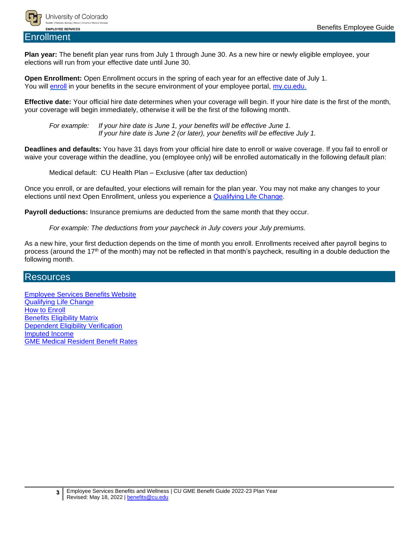

<span id="page-3-0"></span>Enrollment

**Plan year:** The benefit plan year runs from July 1 through June 30. As a new hire or newly eligible employee, your elections will run from your effective date until June 30.

**Open Enrollment:** Open Enrollment occurs in the spring of each year for an effective date of July 1. You will [enroll](http://www.cu.edu/node/244051) in your benefits in the secure environment of your employee portal, [my.cu.edu.](http://my.cu.edu/)

**Effective date:** Your official hire date determines when your coverage will begin. If your hire date is the first of the month, your coverage will begin immediately, otherwise it will be the first of the following month.

*For example: If your hire date is June 1, your benefits will be effective June 1. If your hire date is June 2 (or later), your benefits will be effective July 1.*

**Deadlines and defaults:** You have 31 days from your official hire date to enroll or waive coverage. If you fail to enroll or waive your coverage within the deadline, you (employee only) will be enrolled automatically in the following default plan:

Medical default: CU Health Plan – Exclusive (after tax deduction)

Once you enroll, or are defaulted, your elections will remain for the plan year. You may not make any changes to your elections until next Open Enrollment, unless you experience a [Qualifying Life Change.](http://www.cu.edu/node/285230)

**Payroll deductions:** Insurance premiums are deducted from the same month that they occur.

*For example: The deductions from your paycheck in July covers your July premiums.*

As a new hire, your first deduction depends on the time of month you enroll. Enrollments received after payroll begins to process (around the 17th of the month) may not be reflected in that month's paycheck, resulting in a double deduction the following month.

#### <span id="page-3-1"></span>Resources

[Employee Services Benefits](http://www.cu.edu/node/244049) Website [Qualifying Life](http://www.cu.edu/node/285230) Change [How to Enroll](http://www.cu.edu/node/244051)  [Benefits Eligibility](http://www.cu.edu/node/115913) Matrix [Dependent Eligibility](http://www.cu.edu/node/116040) Verification [Imputed Income](http://www.cu.edu/node/56944) [GME Medical Resident Benefit Rates](http://www.cu.edu/node/244193)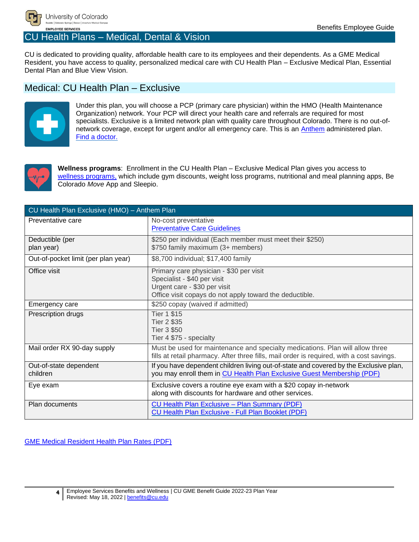

## <span id="page-4-0"></span>CU Health Plans – Medical, Dental & Vision

CU is dedicated to providing quality, affordable health care to its employees and their dependents. As a GME Medical Resident, you have access to quality, personalized medical care with CU Health Plan – Exclusive Medical Plan, Essential Dental Plan and Blue View Vision.

## <span id="page-4-1"></span>Medical: CU Health Plan – Exclusive



Under this plan, you will choose a PCP (primary care physician) within the HMO (Health Maintenance Organization) network. Your PCP will direct your health care and referrals are required for most specialists. Exclusive is a limited network plan with quality care throughout Colorado. There is no out-ofnetwork coverage, except for urgent and/or all emergency care. This is an [Anthem](https://www.anthem.com/cuhealthplan/) administered plan. [Find a doctor.](https://www.anthem.com/cuhealthplan/find-a-doctor/)



**Wellness programs**: Enrollment in the CU Health Plan – Exclusive Medical Plan gives you access to [wellness programs,](https://www.becolorado.org/program/) which include gym discounts, weight loss programs, nutritional and meal planning apps, Be Colorado *Move* App and Sleepio.

| CU Health Plan Exclusive (HMO) - Anthem Plan |                                                                                                                                                                            |  |  |
|----------------------------------------------|----------------------------------------------------------------------------------------------------------------------------------------------------------------------------|--|--|
| Preventative care                            | No-cost preventative<br><b>Preventative Care Guidelines</b>                                                                                                                |  |  |
| Deductible (per<br>plan year)                | \$250 per individual (Each member must meet their \$250)<br>\$750 family maximum (3+ members)                                                                              |  |  |
| Out-of-pocket limit (per plan year)          | \$8,700 individual; \$17,400 family                                                                                                                                        |  |  |
| Office visit                                 | Primary care physician - \$30 per visit<br>Specialist - \$40 per visit<br>Urgent care - \$30 per visit<br>Office visit copays do not apply toward the deductible.          |  |  |
| Emergency care                               | \$250 copay (waived if admitted)                                                                                                                                           |  |  |
| Prescription drugs                           | <b>Tier 1 \$15</b><br>Tier 2 \$35<br><b>Tier 3 \$50</b><br>Tier 4 \$75 - specialty                                                                                         |  |  |
| Mail order RX 90-day supply                  | Must be used for maintenance and specialty medications. Plan will allow three<br>fills at retail pharmacy. After three fills, mail order is required, with a cost savings. |  |  |
| Out-of-state dependent<br>children           | If you have dependent children living out-of-state and covered by the Exclusive plan,<br>you may enroll them in CU Health Plan Exclusive Guest Membership (PDF)            |  |  |
| Eye exam                                     | Exclusive covers a routine eye exam with a \$20 copay in-network<br>along with discounts for hardware and other services.                                                  |  |  |
| Plan documents                               | <b>CU Health Plan Exclusive - Plan Summary (PDF)</b><br><b>CU Health Plan Exclusive - Full Plan Booklet (PDF)</b>                                                          |  |  |

[GME Medical Resident Health Plan Rates \(PDF\)](http://www.cu.edu/node/244193)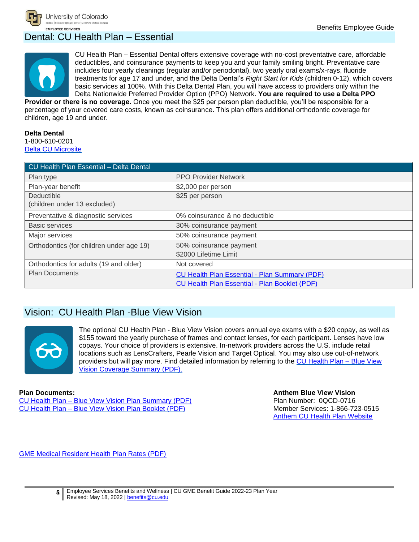## <span id="page-5-0"></span>Dental: CU Health Plan – Essential



CU Health Plan – Essential Dental offers extensive coverage with no-cost preventative care, affordable deductibles, and coinsurance payments to keep you and your family smiling bright. Preventative care includes four yearly cleanings (regular and/or periodontal), two yearly oral exams/x-rays, fluoride treatments for age 17 and under, and the Delta Dental's *Right Start for Kids* (children 0-12), which covers basic services at 100%. With this Delta Dental Plan, you will have access to providers only within the Delta Nationwide Preferred Provider Option (PPO) Network. **You are required to use a Delta PPO** 

**Provider or there is no coverage.** Once you meet the \$25 per person plan deductible, you'll be responsible for a percentage of your covered care costs, known as coinsurance. This plan offers additional orthodontic coverage for children, age 19 and under.

#### **Delta Dental**

1-800-610-0201 [Delta CU Microsite](https://www.deltadentalco.com/members/resources/CU-health.html)

| CU Health Plan Essential - Delta Dental  |                                                      |
|------------------------------------------|------------------------------------------------------|
| Plan type                                | <b>PPO Provider Network</b>                          |
| Plan-year benefit                        | \$2,000 per person                                   |
| Deductible                               | \$25 per person                                      |
| (children under 13 excluded)             |                                                      |
| Preventative & diagnostic services       | 0% coinsurance & no deductible                       |
| <b>Basic services</b>                    | 30% coinsurance payment                              |
| Major services                           | 50% coinsurance payment                              |
| Orthodontics (for children under age 19) | 50% coinsurance payment                              |
|                                          | \$2000 Lifetime Limit                                |
| Orthodontics for adults (19 and older)   | Not covered                                          |
| <b>Plan Documents</b>                    | <b>CU Health Plan Essential - Plan Summary (PDF)</b> |
|                                          | <b>CU Health Plan Essential - Plan Booklet (PDF)</b> |

## <span id="page-5-1"></span>Vision: CU Health Plan -Blue View Vision



The optional CU Health Plan - Blue View Vision covers annual eye exams with a \$20 copay, as well as \$155 toward the yearly purchase of frames and contact lenses, for each participant. Lenses have low copays. Your choice of providers is extensive. In-network providers across the U.S. include retail locations such as LensCrafters, Pearle Vision and Target Optical. You may also use out-of-network providers but will pay more. Find detailed information by referring to the [CU Health Plan –](http://www.cu.edu/node/115451) Blue View [Vision Coverage Summary \(PDF\).](http://www.cu.edu/node/115451)

#### **Plan Documents:**

CU Health Plan – [Blue View Vision Plan Summary \(PDF\)](https://www.cu.edu/docs/cu-health-plan-vision-benefit-summary) CU Health Plan – [Blue View Vision Plan Booklet](https://www.cu.edu/docs/cu-health-plan-vision-benefit-booklet) (PDF)

**Anthem Blue View Vision** Plan Number: 0QCD-0716 Member Services: 1-866-723-0515 [Anthem CU Health Plan Website](https://www.anthem.com/cuhealthplan/)

[GME Medical Resident Health Plan Rates \(PDF\)](http://www.cu.edu/node/244193)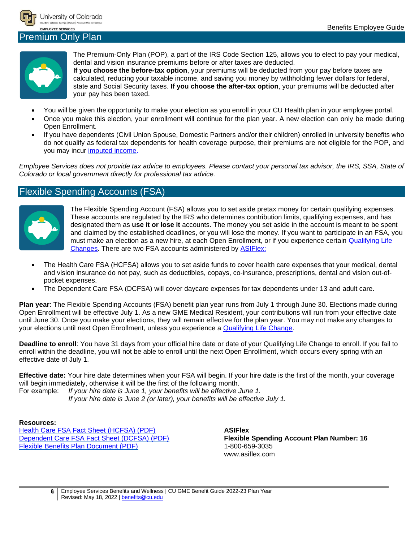

#### <span id="page-6-0"></span>Premium Only Plan



The Premium-Only Plan (POP), a part of the IRS Code Section 125, allows you to elect to pay your medical, dental and vision insurance premiums before or after taxes are deducted.

**If you choose the before-tax option**, your premiums will be deducted from your pay before taxes are calculated, reducing your taxable income, and saving you money by withholding fewer dollars for federal, state and Social Security taxes. **If you choose the after-tax option**, your premiums will be deducted after your pay has been taxed.

- You will be given the opportunity to make your election as you enroll in your CU Health plan in your employee portal.
- Once you make this election, your enrollment will continue for the plan year. A new election can only be made during Open Enrollment.
- If you have dependents (Civil Union Spouse, Domestic Partners and/or their children) enrolled in university benefits who do not qualify as federal tax dependents for health coverage purpose, their premiums are not eligible for the POP, and you may incur [imputed](http://www.cu.edu/node/56944) income.

*Employee Services does not provide tax advice to employees. Please contact your personal tax advisor, the IRS, SSA, State of Colorado or local government directly for professional tax advice.*

## <span id="page-6-1"></span>Flexible Spending Accounts (FSA)



The Flexible Spending Account (FSA) allows you to set aside pretax money for certain qualifying expenses. These accounts are regulated by the IRS who determines contribution limits, qualifying expenses, and has designated them as **use it or lose it** accounts. The money you set aside in the account is meant to be spent and claimed by the established deadlines, or you will lose the money. If you want to participate in an FSA, you must make an election as a new hire, at each Open Enrollment, or if you experience certain [Qualifying Life](http://www.cu.edu/node/285230)  [Changes.](http://www.cu.edu/node/285230) There are two FSA accounts administered by **ASIFlex:** 

- The Health Care FSA (HCFSA) allows you to set aside funds to cover health care expenses that your medical, dental and vision insurance do not pay, such as deductibles, copays, co-insurance, prescriptions, dental and vision out-ofpocket expenses.
- The Dependent Care FSA (DCFSA) will cover daycare expenses for tax dependents under 13 and adult care.

**Plan year**: The Flexible Spending Accounts (FSA) benefit plan year runs from July 1 through June 30. Elections made during Open Enrollment will be effective July 1. As a new GME Medical Resident, your contributions will run from your effective date until June 30. Once you make your elections, they will remain effective for the plan year. You may not make any changes to your elections until next Open Enrollment, unless you experience a [Qualifying Life Change.](http://www.cu.edu/node/285230)

**Deadline to enroll**: You have 31 days from your official hire date or date of your Qualifying Life Change to enroll. If you fail to enroll within the deadline, you will not be able to enroll until the next Open Enrollment, which occurs every spring with an effective date of July 1.

**Effective date:** Your hire date determines when your FSA will begin. If your hire date is the first of the month, your coverage will begin immediately, otherwise it will be the first of the following month.

For example: *If your hire date is June 1, your benefits will be effective June 1. If your hire date is June 2 (or later), your benefits will be effective July 1.*

#### **Resources:**

[Health Care FSA Fact Sheet \(HCFSA\) \(PDF\)](http://www.cu.edu/node/153375) [Dependent Care FSA Fact Sheet \(DCFSA\) \(PDF\)](http://www.cu.edu/node/153376) [Flexible Benefits Plan Document \(PDF\)](https://www.cu.edu/docs/flexible-benefits-plan)

**ASIFlex Flexible Spending Account Plan Number: 16** 1-800-659-3035 www.asiflex.com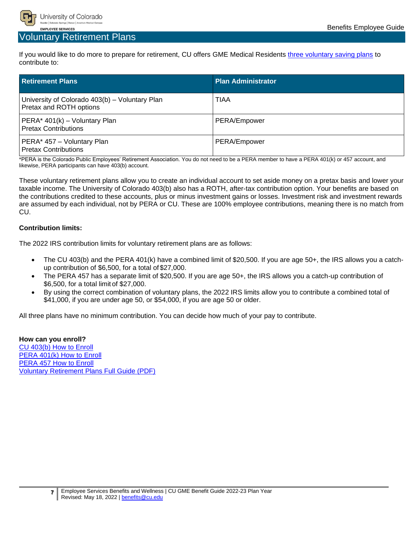

### <span id="page-7-0"></span>Voluntary Retirement Plans

If you would like to do more to prepare for retirement, CU offers GME Medical Residents three [voluntary saving plans](https://www.cu.edu/node/244058) to contribute to:

| <b>Retirement Plans</b>                                                   | <b>Plan Administrator</b> |
|---------------------------------------------------------------------------|---------------------------|
| University of Colorado 403(b) - Voluntary Plan<br>Pretax and ROTH options | TIAA                      |
| PERA* 401(k) - Voluntary Plan<br><b>Pretax Contributions</b>              | PERA/Empower              |
| PERA* 457 - Voluntary Plan<br><b>Pretax Contributions</b>                 | PERA/Empower              |

\*PERA is the Colorado Public Employees' Retirement Association. You do not need to be a PERA member to have a PERA 401(k) or 457 account, and likewise, PERA participants can have 403(b) account.

These voluntary retirement plans allow you to create an individual account to set aside money on a pretax basis and lower your taxable income. The University of Colorado 403(b) also has a ROTH, after-tax contribution option. Your benefits are based on the contributions credited to these accounts, plus or minus investment gains or losses. Investment risk and investment rewards are assumed by each individual, not by PERA or CU. These are 100% employee contributions, meaning there is no match from CU.

#### **Contribution limits:**

The 2022 IRS contribution limits for voluntary retirement plans are as follows:

- The CU 403(b) and the PERA 401(k) have a combined limit of \$20,500. If you are age 50+, the IRS allows you a catchup contribution of \$6,500, for a total of \$27,000.
- The PERA 457 has a separate limit of \$20,500. If you are age 50+, the IRS allows you a catch-up contribution of \$6,500, for a total limit of \$27,000.
- By using the correct combination of voluntary plans, the 2022 IRS limits allow you to contribute a combined total of \$41,000, if you are under age 50, or \$54,000, if you are age 50 or older.

All three plans have no minimum contribution. You can decide how much of your pay to contribute.

**How can you enroll?** [CU 403\(b\) How to Enroll](http://www.cu.edu/node/183286) [PERA 401\(k\) How to Enroll](http://www.cu.edu/node/183287) [PERA 457 How to Enroll](http://www.cu.edu/node/183424) [Voluntary Retirement Plans Full Guide \(PDF\)](http://www.cu.edu/node/183482)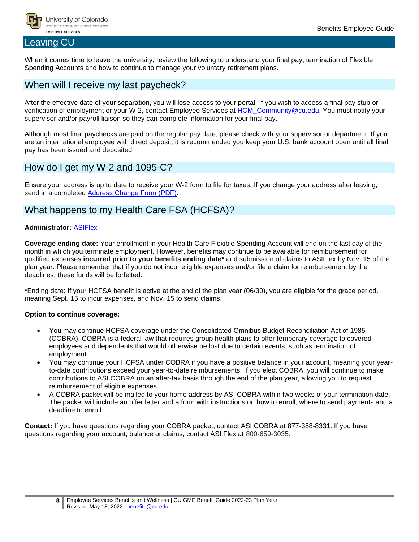

#### <span id="page-8-0"></span>Leaving CU

When it comes time to leave the university, review the following to understand your final pay, termination of Flexible Spending Accounts and how to continue to manage your voluntary retirement plans.

## <span id="page-8-1"></span>When will I receive my last paycheck?

After the effective date of your separation, you will lose access to your portal. If you wish to access a final pay stub or verification of employment or your W-2, contact Employee Services at [HCM\\_Community@cu.edu.](mailto:HCM_Community@cu.edu) You must notify your supervisor and/or payroll liaison so they can complete information for your final pay.

Although most final paychecks are paid on the regular pay date, please check with your supervisor or department. If you are an international employee with direct deposit, it is recommended you keep your U.S. bank account open until all final pay has been issued and deposited.

## <span id="page-8-2"></span>How do I get my W-2 and 1095-C?

Ensure your address is up to date to receive your W-2 form to file for taxes. If you change your address after leaving, send in a completed [Address Change Form \(PDF\).](http://www.cu.edu/node/115909)

## <span id="page-8-3"></span>What happens to my Health Care FSA (HCFSA)?

#### **Administrator:** [ASIFlex](http://www.asiflex.com/)

**Coverage ending date:** Your enrollment in your Health Care Flexible Spending Account will end on the last day of the month in which you terminate employment. However, benefits may continue to be available for reimbursement for qualified expenses **incurred prior to your benefits ending date\*** and submission of claims to ASIFlex by Nov. 15 of the plan year. Please remember that if you do not incur eligible expenses and/or file a claim for reimbursement by the deadlines, these funds will be forfeited.

\*Ending date: If your HCFSA benefit is active at the end of the plan year (06/30), you are eligible for the grace period, meaning Sept. 15 to incur expenses, and Nov. 15 to send claims.

#### **Option to continue coverage:**

- You may continue HCFSA coverage under the Consolidated Omnibus Budget Reconciliation Act of 1985 (COBRA). COBRA is a federal law that requires group health plans to offer temporary coverage to covered employees and dependents that would otherwise be lost due to certain events, such as termination of employment.
- You may continue your HCFSA under COBRA if you have a positive balance in your account, meaning your yearto-date contributions exceed your year-to-date reimbursements. If you elect COBRA, you will continue to make contributions to ASI COBRA on an after-tax basis through the end of the plan year, allowing you to request reimbursement of eligible expenses.
- A COBRA packet will be mailed to your home address by ASI COBRA within two weeks of your termination date. The packet will include an offer letter and a form with instructions on how to enroll, where to send payments and a deadline to enroll.

**Contact:** If you have questions regarding your COBRA packet, contact ASI COBRA at 877-388-8331. If you have questions regarding your account, balance or claims, contact ASI Flex at 800-659-3035.

**<sup>8</sup>** Employee Services Benefits and Wellness | CU GME Benefit Guide 2022-23 Plan Year Revised: May 18, 2022 | [benefits@cu.edu](mailto:benefits@cu.edu)